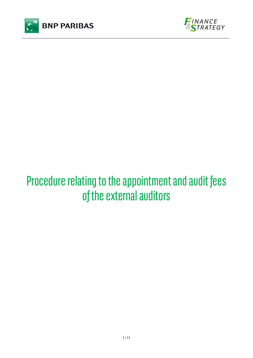



# Procedure relating to the appointment and audit fees of the external auditors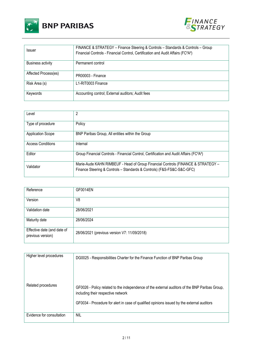



| Issuer                   | FINANCE & STRATEGY - Finance Steering & Controls - Standards & Controls - Group<br>Financial Controls - Financial Control, Certification and Audit Affairs (FC <sup>2</sup> A <sup>2</sup> ) |
|--------------------------|----------------------------------------------------------------------------------------------------------------------------------------------------------------------------------------------|
| <b>Business activity</b> | Permanent control                                                                                                                                                                            |
| Affected Process(es)     | PR00003 - Finance                                                                                                                                                                            |
| Risk Area (s)            | L1-RIT0003 Finance                                                                                                                                                                           |
| Keywords                 | Accounting control; External auditors; Audit fees                                                                                                                                            |

| Level                    | 2                                                                                                                                                          |
|--------------------------|------------------------------------------------------------------------------------------------------------------------------------------------------------|
| Type of procedure        | Policy                                                                                                                                                     |
| <b>Application Scope</b> | BNP Paribas Group, All entities within the Group                                                                                                           |
| <b>Access Conditions</b> | Internal                                                                                                                                                   |
| Editor                   | Group Financial Controls - Financial Control, Certification and Audit Affairs (FC <sup>2</sup> A <sup>2</sup> )                                            |
| Validator                | Marie-Aude KAHN RIMBEUF - Head of Group Financial Controls (FINANCE & STRATEGY -<br>Finance Steering & Controls - Standards & Controls) (F&S-FS&C-S&C-GFC) |

| Reference                                        | GF0014EN                                     |
|--------------------------------------------------|----------------------------------------------|
| Version                                          | V8                                           |
| Validation date                                  | 28/06/2021                                   |
| Maturity date                                    | 28/06/2024                                   |
| Effective date (and date of<br>previous version) | 28/06/2021 (previous version V7: 11/09/2018) |

| Higher level procedures   | DG0025 - Responsibilities Charter for the Finance Function of BNP Paribas Group                                                      |
|---------------------------|--------------------------------------------------------------------------------------------------------------------------------------|
| Related procedures        | GF0026 - Policy related to the independence of the external auditors of the BNP Paribas Group,<br>including their respective network |
|                           | GF0034 - Procedure for alert in case of qualified opinions issued by the external auditors                                           |
| Evidence for consultation | <b>NIL</b>                                                                                                                           |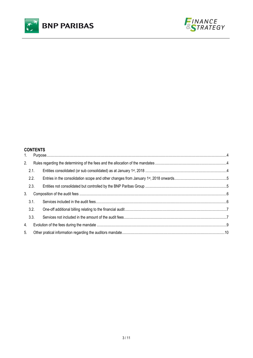



# **CONTENTS**

| 1. |      |  |
|----|------|--|
| 2. |      |  |
|    | 2.1. |  |
|    | 2.2. |  |
|    | 2.3. |  |
| 3. |      |  |
|    | 3.1. |  |
|    | 3.2. |  |
|    | 3.3. |  |
| 4. |      |  |
| 5. |      |  |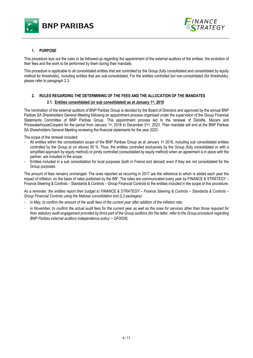



# **1. PURPOSE**

This procedure lays out the rules to be followed-up regarding the appointment of the external auditors of the entities, the evolution of their fees and the work to be performed by them during their mandate.

This procedure is applicable to all consolidated entities that are controlled by the Group (fully consolidated and consolidated by equity method for thresholds), including entities that are sub-consolidated. For the entities controlled but non-consolidated (for thresholds), please refer to paragraph 2.3.

# **2. RULES REGARDING THE DETERMINING OF THE FEES AND THE ALLOCATION OF THE MANDATES**

## **2.1. Entities consolidated (or sub consolidated) as at January 1st, 2018**

The nomination of the external auditors of BNP Paribas Group is decided by the Board of Directors and approved by the annual BNP Paribas SA Shareholders General Meeting following an appointment process organised under the supervision of the Group Financial Statements Committee of BNP Paribas Group. This appointment process led to the renewal of Deloitte, Mazars and PricewaterhouseCoopers for the period from January 1<sup>st</sup>, 2018 to December 31<sup>st</sup>, 2023. Their mandate will end at the BNP Paribas SA Shareholders General Meeting reviewing the financial statements for the year 2023.

The scope of the renewal included:

- All entities within the consolidation scope of the BNP Paribas Group as at January 1<sup>st</sup> 2018, including sub consolidated entities controlled by the Group at (or above) 50 %. Thus, the entities controlled exclusively by the Group (fully consolidated or with a simplified approach by equity method) or jointly controlled (consolidated by equity method) when an agreement is in place with the partner, are included in the scope;
- Entities included in a sub consolidation for local purposes (both in France and abroad) even if they are not consolidated for the Group purposes.

The amount of fees remains unchanged. The ones reported as recurring in 2017 are the reference to which is added each year the impact of inflation, on the basis of rates published by the IMF. The rates are communicated every year by FINANCE & STRATEGY – Finance Steering & Controls – Standards & Controls – Group Financial Controls to the entities included in the scope of this procedure.

*As a reminder, the entities report their budget to FINANCE & STRATEGY – Finance Steering & Controls – Standards & Controls – Group Financial Controls using the Matisse consolidation tool (L3 packages):* 

- *in May, to confirm the amount of the audit fees of the current year after addition of the inflation rate;*
- *in November, to confirm the actual audit fees for the current year as well as the ones for services other than those required for their statutory audit engagement provided by firms part of the Group auditors (for the latter, refer to the Group procedure regarding BNP Paribas external auditors independence policy – GF0026).*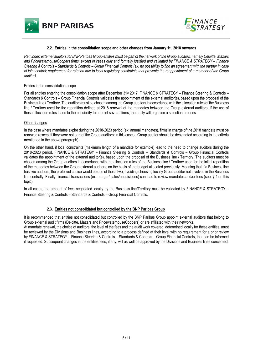



#### **2.2. Entries in the consolidation scope and other changes from January 1st, 2018 onwards**

*Reminder: external auditors for BNP Paribas Group entities must be part of the network of the Group auditors, namely Deloitte, Mazars and PricewaterhouseCoopers firms, except in cases duly and formally justified and validated by FINANCE & STRATEGY – Finance Steering & Controls – Standards & Controls – Group Financial Controls (ex: no possibility to find an agreement with the partner in case of joint control; requirement for rotation due to local regulatory constraints that prevents the reappointment of a member of the Group auditor).* 

#### Entries in the consolidation scope

For all entities entering the consolidation scope after December 31st 2017, FINANCE & STRATEGY – Finance Steering & Controls – Standards & Controls – Group Financial Controls validates the appointment of the external auditor(s), based upon the proposal of the Business line / Territory. The auditors must be chosen among the Group auditors in accordance with the allocation rules of the Business line / Territory used for the repartition defined at 2018 renewal of the mandates between the Group external auditors. If the use of these allocation rules leads to the possibility to appoint several firms, the entity will organise a selection process.

#### Other changes

In the case where mandates expire during the 2018-2023 period (ex: annual mandates), firms in charge of the 2018 mandate must be renewed (except if they were not part of the Group auditors: in this case, a Group auditor should be designated according to the criteria mentioned in the above paragraph).

On the other hand, if local constraints (maximum length of a mandate for example) lead to the need to change auditors during the 2018-2023 period, FINANCE & STRATEGY – Finance Steering & Controls – Standards & Controls – Group Financial Controls validates the appointment of the external auditor(s), based upon the proposal of the Business line / Territory. The auditors must be chosen among the Group auditors in accordance with the allocation rules of the Business line / Territory used for the initial repartition of the mandates between the Group external auditors, on the basis of the budget allocated previously. Meaning that if a Business line has two auditors, the preferred choice would be one of these two, avoiding choosing locally Group auditor not involved in the Business line centrally. Finally, financial transactions (ex: merger/ sales/acquisitions) can lead to review mandates and/or fees (see. § 4 on this topic).

In all cases, the amount of fees negotiated locally by the Business line/Territory must be validated by FINANCE & STRATEGY – Finance Steering & Controls – Standards & Controls – Group Financial Controls.

#### **2.3. Entities not consolidated but controlled by the BNP Paribas Group**

It is recommended that entities not consolidated but controlled by the BNP Paribas Group appoint external auditors that belong to Group external audit firms (Deloitte, Mazars and PricewaterhouseCoopers) or are affiliated with their networks. At mandate renewal, the choice of auditors, the level of the fees and the audit work covered, determined locally for these entities, must

be reviewed by the Divisions and Business lines, according to a process defined at their level with no requirement for a prior review by FINANCE & STRATEGY – Finance Steering & Controls – Standards & Controls – Group Financial Controls, that can be informed if requested. Subsequent changes in the entities fees, if any, will as well be approved by the Divisions and Business lines concerned.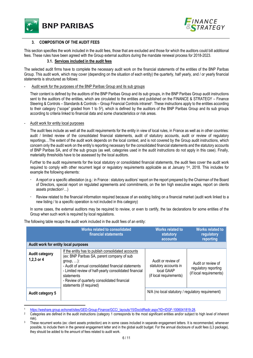



# **3. COMPOSITION OF THE AUDIT FEES**

This section specifies the work included in the audit fees, those that are excluded and those for which the auditors could bill additional fees. These rules have been agreed with the Group external auditors during the mandate renewal process for 2018-2023.

## **3.1. Services included in the audit fees**

The selected audit firms have to complete the necessary audit work on the financial statements of the entities of the BNP Paribas Group. This audit work, which may cover (depending on the situation of each entity) the quarterly, half yearly, and / or yearly financial statements is structured as follows:

#### - Audit work for the purposes of the BNP Paribas Group and its sub groups

Their content is defined by the auditors of the BNP Paribas Group and its sub groups, in the BNP Paribas Group audit instructions sent to the auditors of the entities, which are circulated to the entities and published on the FINANCE & STRATEGY – Finance Steering & Controls – Standards & Controls – Group Financial Controls intranet<sup>1</sup>. These instructions apply to the entities according to their category ("scope" graded from 1 to 52), which is defined by the auditors of the BNP Paribas Group and its sub groups according to criteria linked to financial data and some characteristics or risk areas.

#### *-* Audit work for entity local purposes

The audit fees include as well all the audit requirements for the entity in view of local rules, in France as well as in other countries: audit / limited review of the consolidated financial statements, audit of statutory accounts, audit or review of regulatory reportings…The extent of the audit work depends on the local context, and is not covered by the Group audit instructions, which concern only the audit work on the entity's reporting necessary for the consolidated financial statements and the statutory accounts of BNP Paribas SA, and of the sub groups (as well, categories used in the audit instructions do not apply in this case). Finally, materiality thresholds have to be assessed by the local auditors.

Further to the audit requirements for the local statutory or consolidated financial statements, the audit fees cover the audit work required to comply with other recurrent legal or regulatory requirements applicable as at January 1st, 2018. This includes for example the following elements:

- A report or a specific attestation (e.g.: in France : statutory auditors' report on the report prepared by the Chairman of the Board of Directors, special report on regulated agreements and commitments, on the ten high executive wages, report on clients assets protection3…)
- Review related to the financial information required because of an existing listing on a financial market (audit work linked to a new listing / to a specific operation is not included in this category)

In some cases, the external auditors may be required to review, or even to certify, the tax declarations for some entities of the Group when such work is required by local regulations.

|                                      | <b>Works related to consolidated</b><br>financial statements                                                                                                                                                                                                                                                                      | <b>Works related to</b><br>statutory<br>accounts                                     | <b>Works related to</b><br>regulatory<br>reporting                    |
|--------------------------------------|-----------------------------------------------------------------------------------------------------------------------------------------------------------------------------------------------------------------------------------------------------------------------------------------------------------------------------------|--------------------------------------------------------------------------------------|-----------------------------------------------------------------------|
| Audit work for entity local purposes |                                                                                                                                                                                                                                                                                                                                   |                                                                                      |                                                                       |
| <b>Audit category</b><br>1,2,3 or 4  | If the entity has to publish consolidated accounts<br>(ex: BNP Paribas SA, parent company of sub<br>group, $\ldots$ ):<br>- Audit of annual consolidated financial statements<br>- Limited review of half-yearly consolidated financial<br>statements<br>- Review of quarterly consolidated financial<br>statements (if required) | Audit or review of<br>statutory accounts in<br>local GAAP<br>(if local requirements) | Audit or review of<br>regulatory reporting<br>(if local requirements) |
| Audit category 5                     |                                                                                                                                                                                                                                                                                                                                   | N/A (no local statutory / regulatory requirement)                                    |                                                                       |

The following table recaps the audit work included in the audit fees of an entity:

https://weshare.group.echonet/sites/GED-Group-Finance/GCC/\_layouts/15/DocldRedir.aspx?ID=IDGF-1006041819-28.

<sup>&</sup>lt;sup>2</sup> Categories are defined in the audit instructions (category 1 corresponds to the most significant entities and/or subject to high level of inherent

risk).<br>These recurrent works (ex: client assets protection) are in some cases included in separate engagement letters. It is recommended, whenever possible, to include them in the general engagement letter and in the global audit budget. For the annual disclosure of audit fees (L3 package), they should be added to the amount of fees related to audit work.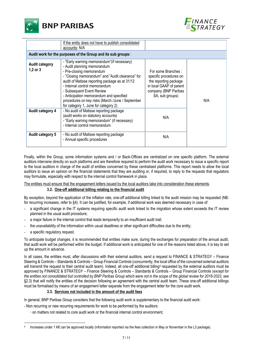



|                                       | If the entity does not have to publish consolidated<br>accounts: N/A                                                                                                                                                                                                                                                                                                                                              |                                                                                                                                             |     |  |
|---------------------------------------|-------------------------------------------------------------------------------------------------------------------------------------------------------------------------------------------------------------------------------------------------------------------------------------------------------------------------------------------------------------------------------------------------------------------|---------------------------------------------------------------------------------------------------------------------------------------------|-----|--|
|                                       | Audit work for the purposes of the Group and its sub groups:                                                                                                                                                                                                                                                                                                                                                      |                                                                                                                                             |     |  |
| <b>Audit category</b><br>$1,2$ or $3$ | - "Early warning memorandum" (if necessary)<br>- Audit planning memorandum<br>- Pre-closing memorandum<br>- "Closing memorandum" and "Audit clearance" for<br>audit of Matisse reporting package as at 31/12<br>- Internal control memorandum<br>- Subsequent Event Review<br>- Anticipation memorandum and specified<br>procedures on key risks (March /June / September<br>for category 1, June for category 2) | For some Branches:<br>specific procedures on<br>the reporting package<br>in local GAAP of parent<br>company (BNP Paribas<br>SA, sub groups) | N/A |  |
| Audit category 4                      | - No audit of Matisse reporting package<br>(audit works on statutory accounts)<br>- "Early warning memorandum" (if necessary)<br>- Internal control memorandum                                                                                                                                                                                                                                                    | N/A                                                                                                                                         |     |  |
| Audit category 5                      | - No audit of Matisse reporting package<br>- Annual specific procedures                                                                                                                                                                                                                                                                                                                                           | N/A                                                                                                                                         |     |  |

Finally, within the Group, some information systems and / or Back-Offices are centralized on one specific platform. The external auditors intervene directly on such platforms and are therefore required to perform the audit work necessary to issue a specific report to the local auditors in charge of the audit of entities concerned by these centralised platforms. This report needs to allow the local auditors to issue an opinion on the financial statements that they are auditing or, if required, to reply to the requests that regulators may formulate, especially with respect to the internal control framework in place.

The entities must ensure that the engagement letters issued by the local auditors take into consideration these elements.

# **3.2. One-off additional billing relating to the financial audit**

By exception, beyond the application of the inflation rate, one-off additional billing linked to the audit mission may be requested (NB: for recurring increases, refer to §4). It can be justified, for example, if additional work was deemed necessary in case of:

- a significant change in the IT systems requiring specific audit work linked to the migration whose extent exceeds the IT review planned in the usual audit procedure;
- a major failure in the internal control that leads temporarily to an insufficient audit trail;
- the unavailability of the information within usual deadlines or other significant difficulties due to the entity;
- a specific regulatory request.

To anticipate budget changes, it is recommended that entities make sure, during the exchanges for preparation of the annual audit, that audit work will be performed within the budget. If additional work is anticipated for one of the reasons listed above, it is key to set up the amount in advance.

In all cases, the entities must, after discussions with their external auditors, send a request to FINANCE & STRATEGY – Finance Steering & Controls – Standards & Controls – Group Financial Controls (concurrently, the local office of the concerned external auditors will transmit the request to their central audit team). Indeed, all one-off additional billing<sup>4</sup> requested by the external auditors must be approved by FINANCE & STRATEGY – Finance Steering & Controls – Standards & Controls – Group Financial Controls (*except for the entities not consolidated but controlled by BNP Paribas Group which were not in the scope of the global review for 2018-2023, see*  §2.3) that will notify the entities of the decision following an agreement with the central audit team. These one-off additional billings must be formalised by means of an engagement letter separate from the engagement letter for the core audit work.

# **3.3. Services not included in the amount of the audit fees**

In general, BNP Paribas Group considers that the following audit work is supplementary to the financial audit work:

- Non recurring or new recurring requirements for work to be performed by the auditors:
	- on matters not related to core audit work or the financial internal control environment;

<sup>4</sup> Increases under 1 K€ can be approved locally (information reported via the fees collection in May or November in the L3 package).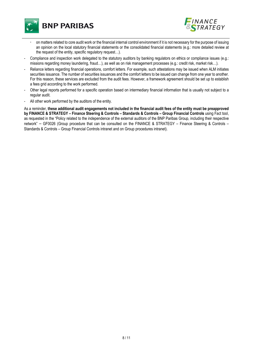



- on matters related to core audit work or the financial internal control environment if it is not necessary for the purpose of issuing an opinion on the local statutory financial statements or the consolidated financial statements (e.g.: more detailed review at the request of the entity, specific regulatory request…).
- Compliance and inspection work delegated to the statutory auditors by banking regulators on ethics or compliance issues (e.g.: missions regarding money laundering, fraud…), as well as on risk management processes (e.g.: credit risk, market risk…).
- Reliance letters regarding financial operations, comfort letters. For example, such attestations may be issued when ALM initiates securities issuance. The number of securities issuances and the comfort letters to be issued can change from one year to another. For this reason, these services are excluded from the audit fees. However, a framework agreement should be set up to establish a fees grid according to the work performed.
- Other legal reports performed for a specific operation based on intermediary financial information that is usually not subject to a regular audit.
- All other work performed by the auditors of the entity.

As a reminder, **these additional audit engagements not included in the financial audit fees of the entity must be preapproved by FINANCE & STRATEGY – Finance Steering & Controls – Standards & Controls – Group Financial Controls** using Fact tool, as requested in the "Policy related to the independence of the external auditors of the BNP Paribas Group, including their respective network" *–* GF0026 (Group procedure that can be consulted on the FINANCE & STRATEGY – Finance Steering & Controls – Standards & Controls – Group Financial Controls intranet and on Group procedures intranet).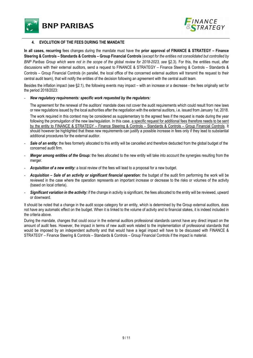**BNP PARIBAS** 



## **4. EVOLUTION OF THE FEES DURING THE MANDATE**

**In all cases, recurring** fees changes during the mandate must have the **prior approval of FINANCE & STRATEGY – Finance Steering & Controls – Standards & Controls – Group Financial Controls** (*except for the entities not consolidated but controlled by BNP Paribas Group which were not in the scope of the global review for 2018-2023, see* §2.3). For this, the entities must, after discussions with their external auditors, send a request to FINANCE & STRATEGY – Finance Steering & Controls – Standards & Controls – Group Financial Controls (in parallel, the local office of the concerned external auditors will transmit the request to their central audit team), that will notify the entities of the decision following an agreement with the central audit team.

Besides the inflation impact (see §2.1), the following events may impact – with an increase or a decrease - the fees originally set for the period 2018/2023:

#### - *New regulatory requirements: specific work requested by the regulators:*

The agreement for the renewal of the auditors' mandate does not cover the audit requirements which could result from new laws or new regulations issued by the local authorities after the negotiation with the external auditors, i.e. issued from January 1st, 2018. The work required in this context may be considered as supplementary to the agreed fees if the request is made during the year following the promulgation of the new law/regulation. In this case, a specific request for additional fees therefore needs to be sent by the entity to FINANCE & STRATEGY – Finance Steering & Controls – Standards & Controls – Group Financial Controls. It should however be highlighted that these new requirements can justify a possible increase in fees only if they lead to substantial additional procedures for the external auditor.

- Sale of an entity: the fees formerly allocated to this entity will be cancelled and therefore deducted from the global budget of the concerned audit firm.
- Merger among entities of the Group: the fees allocated to the new entity will take into account the synergies resulting from the merger.
- Acquisition of a new entity: a local review of the fees will lead to a proposal for a new budget.
- *Acquisition Sale of an activity or significant financial operation:* the budget of the audit firm performing the work will be reviewed in the case where the operation represents an important increase or decrease to the risks or volumes of the activity (based on local criteria).
- **Significant variation in the activity:** if the change in activity is significant, the fees allocated to the entity will be reviewed, upward or downward.

It should be noted that a change in the audit scope category for an entity, which is determined by the Group external auditors, does not have any automatic effect on the budget. When it is linked to the volume of activity and to financial stakes, it is indeed included in the criteria above.

During the mandate, changes that could occur in the external auditors professional standards cannot have any direct impact on the amount of audit fees. However, the impact in terms of new audit work related to the implementation of professional standards that would be imposed by an independent authority and that would have a legal impact will have to be discussed with FINANCE & STRATEGY – Finance Steering & Controls – Standards & Controls – Group Financial Controls if the impact is material.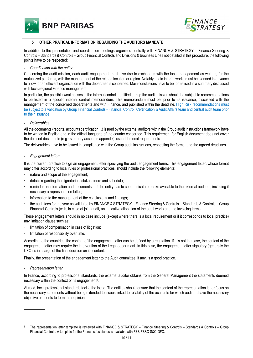



# **5. OTHER PRATICAL INFORMATION REGARDING THE AUDITORS MANDATE**

In addition to the presentation and coordination meetings organized centrally with FINANCE & STRATEGY – Finance Steering & Controls – Standards & Controls – Group Financial Controls and Divisions & Business Lines not detailed in this procedure, the following points have to be respected:

- *Coordination with the entity:* 

Concerning the audit mission, each audit engagement must give rise to exchanges with the local management as well as, for the mutualized platforms, with the management of the related location or region. Notably, main interim works must be planned in advance to allow for an efficient organization with the departments concerned. Main conclusions have to be formalised in a summary discussed with local/regional Finance management.

In particular, the possible weaknesses in the internal control identified during the audit mission should be subject to recommendations to be listed in a specific internal control memorandum. This memorandum must be, prior to its issuance, discussed with the management of the concerned departments and with Finance, and published within the deadline. High Risk recommendations must be subject to a validation by Group Financial Controls - Financial Control, Certification & Audit Affairs team and central audit team prior to their issuance.

- *Deliverables:* 

All the documents (reports, accounts certification…) issued by the external auditors within the Group audit instructions framework have to be written in English and in the official language of the country concerned. This requirement for English document does not cover the detailed documents (e.g.: statutory accounts appendix) issued for local requirements.

The deliverables have to be issued in compliance with the Group audit instructions, respecting the format and the agreed deadlines.

- *Engagement letter:* 

It is the current practice to sign an engagement letter specifying the audit engagement terms. This engagement letter, whose format may differ according to local rules or professional practices, should include the following elements:

- nature and scope of the engagement;
- details regarding the signatories, stakeholders and schedule;
- reminder on information and documents that the entity has to communicate or make available to the external auditors, including if necessary a representation letter;
- information to the management of the conclusions and findings;
- the audit fees for the year as validated by FINANCE & STRATEGY Finance Steering & Controls Standards & Controls Group Financial Controls (with, in case of joint audit, an indicative allocation of the audit work) and the invoicing terms.

These engagement letters should in no case include (except where there is a local requirement or if it corresponds to local practice) any limitation clause such as:

- **·** limitation of compensation in case of litigation;
- limitation of responsibility over time.

According to the countries, the content of the engagement letter can be defined by a regulation. If it is not the case, the content of the engagement letter may require the intervention of the Legal department. In this case, the engagement letter signatory (generally the CFO) is in charge of the final decision on its content.

Finally, the presentation of the engagement letter to the Audit committee, if any, is a good practice.

- *Representation letter* 

l

In France, according to professional standards, the external auditor obtains from the General Management the statements deemed necessary within the context of its engagement<sup>5</sup>.

Abroad, local professional standards tackle the issue. The entities should ensure that the content of the representation letter focus on the necessary statements without being extended to issues linked to reliability of the accounts for which auditors have the necessary objective elements to form their opinion.

 5 The representation letter template is reviewed with FINANCE & STRATEGY – Finance Steering & Controls – Standards & Controls – Group Financial Controls. A template for the French subsidiaries is available with F&S-FS&C-S&C-GFC.